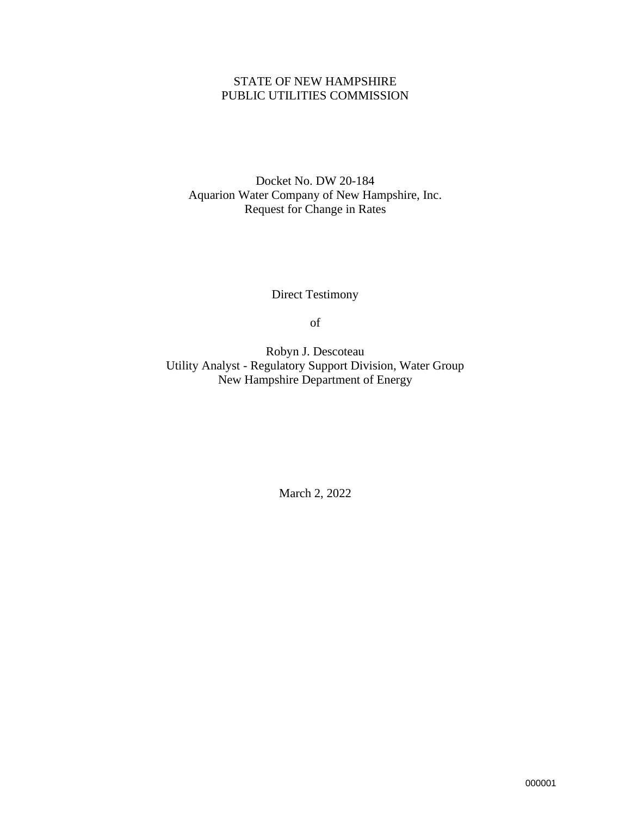## STATE OF NEW HAMPSHIRE PUBLIC UTILITIES COMMISSION

Docket No. DW 20-184 Aquarion Water Company of New Hampshire, Inc. Request for Change in Rates

Direct Testimony

of

Robyn J. Descoteau Utility Analyst - Regulatory Support Division, Water Group New Hampshire Department of Energy

March 2, 2022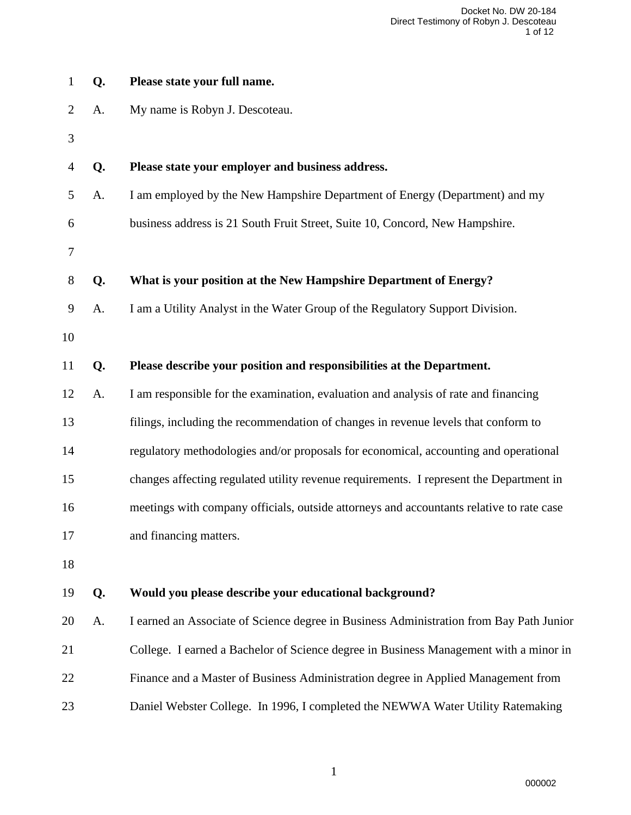|                |    | Docket No. DW 20-184<br>Direct Testimony of Robyn J. Descoteau<br>1 of 12                |
|----------------|----|------------------------------------------------------------------------------------------|
| $\mathbf{1}$   | Q. | Please state your full name.                                                             |
| $\overline{2}$ | A. | My name is Robyn J. Descoteau.                                                           |
| 3              |    |                                                                                          |
| 4              | Q. | Please state your employer and business address.                                         |
| 5              | A. | I am employed by the New Hampshire Department of Energy (Department) and my              |
| 6              |    | business address is 21 South Fruit Street, Suite 10, Concord, New Hampshire.             |
| 7              |    |                                                                                          |
| $8\phantom{1}$ | Q. | What is your position at the New Hampshire Department of Energy?                         |
| 9              | A. | I am a Utility Analyst in the Water Group of the Regulatory Support Division.            |
| 10             |    |                                                                                          |
| 11             | Q. | Please describe your position and responsibilities at the Department.                    |
| 12             | A. | I am responsible for the examination, evaluation and analysis of rate and financing      |
| 13             |    | filings, including the recommendation of changes in revenue levels that conform to       |
| 14             |    | regulatory methodologies and/or proposals for economical, accounting and operational     |
| 15             |    | changes affecting regulated utility revenue requirements. I represent the Department in  |
| 16             |    | meetings with company officials, outside attorneys and accountants relative to rate case |
| 17             |    | and financing matters.                                                                   |
| 18             |    |                                                                                          |
| 19             | Q. | Would you please describe your educational background?                                   |
| 20             | A. | I earned an Associate of Science degree in Business Administration from Bay Path Junior  |
| 21             |    | College. I earned a Bachelor of Science degree in Business Management with a minor in    |
| 22             |    | Finance and a Master of Business Administration degree in Applied Management from        |
| 23             |    | Daniel Webster College. In 1996, I completed the NEWWA Water Utility Ratemaking          |
|                |    |                                                                                          |
|                |    | $\mathbf{1}$                                                                             |
|                |    | 000002                                                                                   |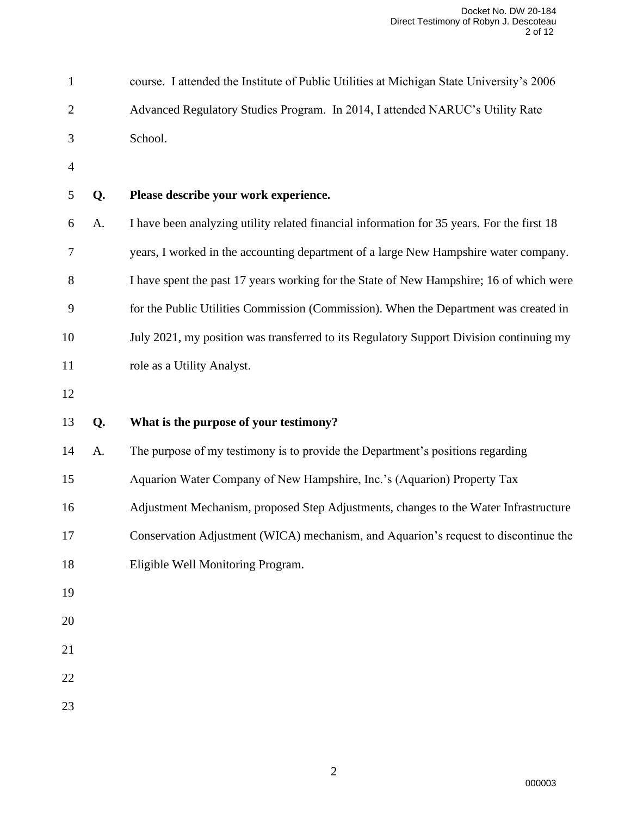|              |    | Docket No. DW 20-184<br>Direct Testimony of Robyn J. Descoteau<br>2 of 12                  |
|--------------|----|--------------------------------------------------------------------------------------------|
| $\mathbf{1}$ |    | course. I attended the Institute of Public Utilities at Michigan State University's 2006   |
| 2            |    | Advanced Regulatory Studies Program. In 2014, I attended NARUC's Utility Rate              |
| 3            |    | School.                                                                                    |
| 4            |    |                                                                                            |
| 5            | Q. | Please describe your work experience.                                                      |
| 6            | A. | I have been analyzing utility related financial information for 35 years. For the first 18 |
| 7            |    | years, I worked in the accounting department of a large New Hampshire water company.       |
| 8            |    | I have spent the past 17 years working for the State of New Hampshire; 16 of which were    |
| 9            |    | for the Public Utilities Commission (Commission). When the Department was created in       |
| 10           |    | July 2021, my position was transferred to its Regulatory Support Division continuing my    |
| 11           |    | role as a Utility Analyst.                                                                 |
| 12           |    |                                                                                            |
| 13           | Q. | What is the purpose of your testimony?                                                     |
| 14           | A. | The purpose of my testimony is to provide the Department's positions regarding             |
| 15           |    | Aquarion Water Company of New Hampshire, Inc.'s (Aquarion) Property Tax                    |
| 16           |    | Adjustment Mechanism, proposed Step Adjustments, changes to the Water Infrastructure       |
| 17           |    | Conservation Adjustment (WICA) mechanism, and Aquarion's request to discontinue the        |
| 18           |    | Eligible Well Monitoring Program.                                                          |
| 19           |    |                                                                                            |
| 20           |    |                                                                                            |
| 21           |    |                                                                                            |
| 22           |    |                                                                                            |
| 23           |    |                                                                                            |
|              |    |                                                                                            |
|              |    | $\mathbf{2}$                                                                               |
|              |    | 000003                                                                                     |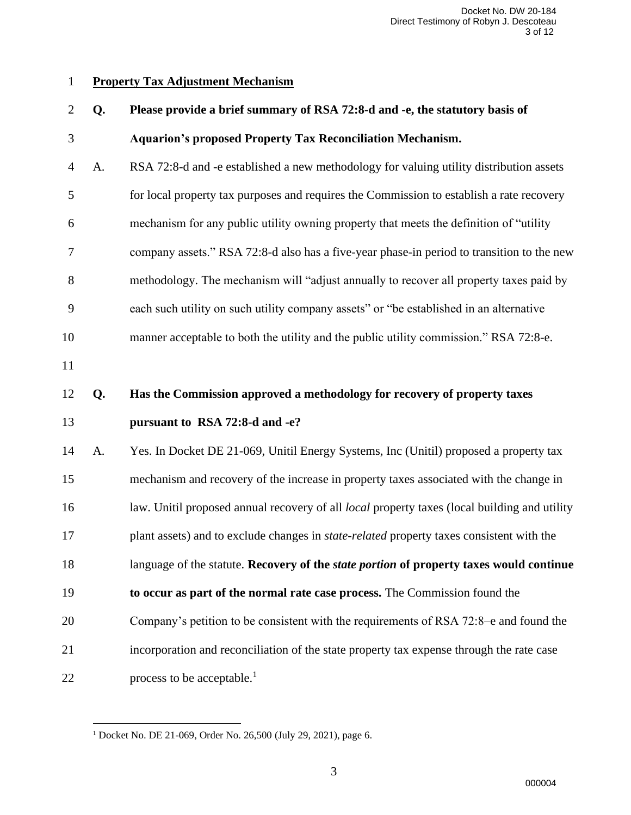## **Property Tax Adjustment Mechanism**

|              |    | Docket No. DW 20-184<br>Direct Testimony of Robyn J. Descoteau<br>3 of 12                           |
|--------------|----|-----------------------------------------------------------------------------------------------------|
| $\mathbf{1}$ |    | <b>Property Tax Adjustment Mechanism</b>                                                            |
| 2            | Q. | Please provide a brief summary of RSA 72:8-d and -e, the statutory basis of                         |
| 3            |    | <b>Aquarion's proposed Property Tax Reconciliation Mechanism.</b>                                   |
| 4            | A. | RSA 72:8-d and -e established a new methodology for valuing utility distribution assets             |
| 5            |    | for local property tax purposes and requires the Commission to establish a rate recovery            |
| 6            |    | mechanism for any public utility owning property that meets the definition of "utility"             |
| 7            |    | company assets." RSA 72:8-d also has a five-year phase-in period to transition to the new           |
| 8            |    | methodology. The mechanism will "adjust annually to recover all property taxes paid by              |
| 9            |    | each such utility on such utility company assets" or "be established in an alternative              |
| 10           |    | manner acceptable to both the utility and the public utility commission." RSA 72:8-e.               |
| 11           |    |                                                                                                     |
| 12           | Q. | Has the Commission approved a methodology for recovery of property taxes                            |
| 13           |    | pursuant to RSA 72:8-d and -e?                                                                      |
| 14           | A. | Yes. In Docket DE 21-069, Unitil Energy Systems, Inc (Unitil) proposed a property tax               |
| 15           |    | mechanism and recovery of the increase in property taxes associated with the change in              |
| 16           |    | law. Unitil proposed annual recovery of all <i>local</i> property taxes (local building and utility |
| 17           |    | plant assets) and to exclude changes in <i>state-related</i> property taxes consistent with the     |
| 18           |    | language of the statute. Recovery of the <i>state portion</i> of property taxes would continue      |
| 19           |    | to occur as part of the normal rate case process. The Commission found the                          |
| 20           |    | Company's petition to be consistent with the requirements of RSA 72:8-e and found the               |
| 21           |    | incorporation and reconciliation of the state property tax expense through the rate case            |
| 22           |    | process to be acceptable. <sup>1</sup>                                                              |
|              |    |                                                                                                     |
|              |    | <sup>1</sup> Docket No. DE 21-069, Order No. 26,500 (July 29, 2021), page 6.                        |
|              |    | 3                                                                                                   |
|              |    | 000004                                                                                              |

Docket No. DE 21-069, Order No. 26,500 (July 29, 2021), page 6.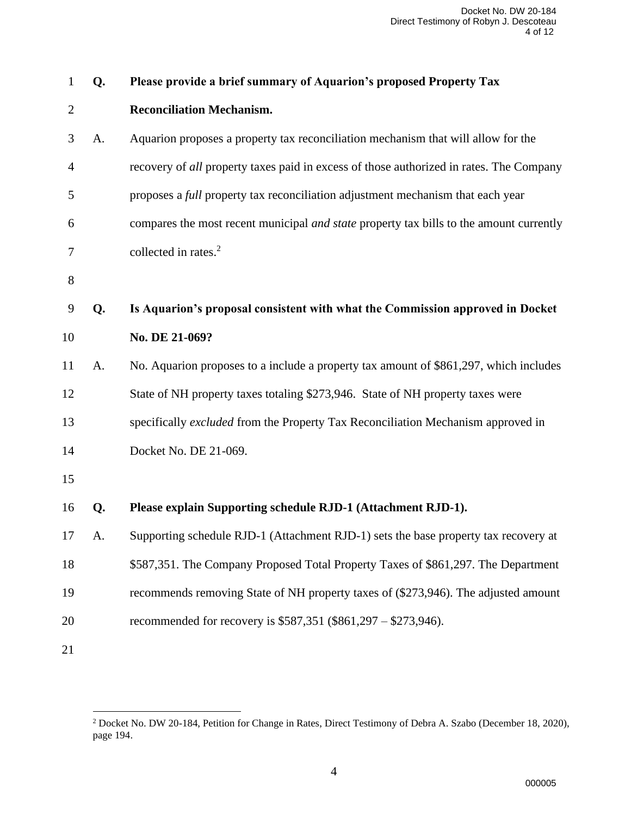|    |           | Docket No. DW 20-184<br>Direct Testimony of Robyn J. Descoteau<br>4 of 12                                               |
|----|-----------|-------------------------------------------------------------------------------------------------------------------------|
| Q. |           | Please provide a brief summary of Aquarion's proposed Property Tax                                                      |
|    |           | <b>Reconciliation Mechanism.</b>                                                                                        |
| A. |           | Aquarion proposes a property tax reconciliation mechanism that will allow for the                                       |
|    |           | recovery of all property taxes paid in excess of those authorized in rates. The Company                                 |
|    |           | proposes a <i>full</i> property tax reconciliation adjustment mechanism that each year                                  |
|    |           | compares the most recent municipal <i>and state</i> property tax bills to the amount currently                          |
|    |           | collected in rates. <sup>2</sup>                                                                                        |
|    |           |                                                                                                                         |
| Q. |           | Is Aquarion's proposal consistent with what the Commission approved in Docket                                           |
|    |           | No. DE 21-069?                                                                                                          |
| A. |           | No. Aquarion proposes to a include a property tax amount of \$861,297, which includes                                   |
|    |           | State of NH property taxes totaling \$273,946. State of NH property taxes were                                          |
|    |           | specifically excluded from the Property Tax Reconciliation Mechanism approved in                                        |
|    |           | Docket No. DE 21-069.                                                                                                   |
|    |           |                                                                                                                         |
| Q. |           | Please explain Supporting schedule RJD-1 (Attachment RJD-1).                                                            |
| A. |           | Supporting schedule RJD-1 (Attachment RJD-1) sets the base property tax recovery at                                     |
|    |           | \$587,351. The Company Proposed Total Property Taxes of \$861,297. The Department                                       |
|    |           | recommends removing State of NH property taxes of (\$273,946). The adjusted amount                                      |
|    |           | recommended for recovery is \$587,351 (\$861,297 – \$273,946).                                                          |
|    |           |                                                                                                                         |
|    |           |                                                                                                                         |
|    | page 194. | <sup>2</sup> Docket No. DW 20-184, Petition for Change in Rates, Direct Testimony of Debra A. Szabo (December 18, 2020) |
|    |           | $\overline{4}$                                                                                                          |
|    |           | 000005                                                                                                                  |

 Docket No. DW 20-184, Petition for Change in Rates, Direct Testimony of Debra A. Szabo (December 18, 2020), page 194.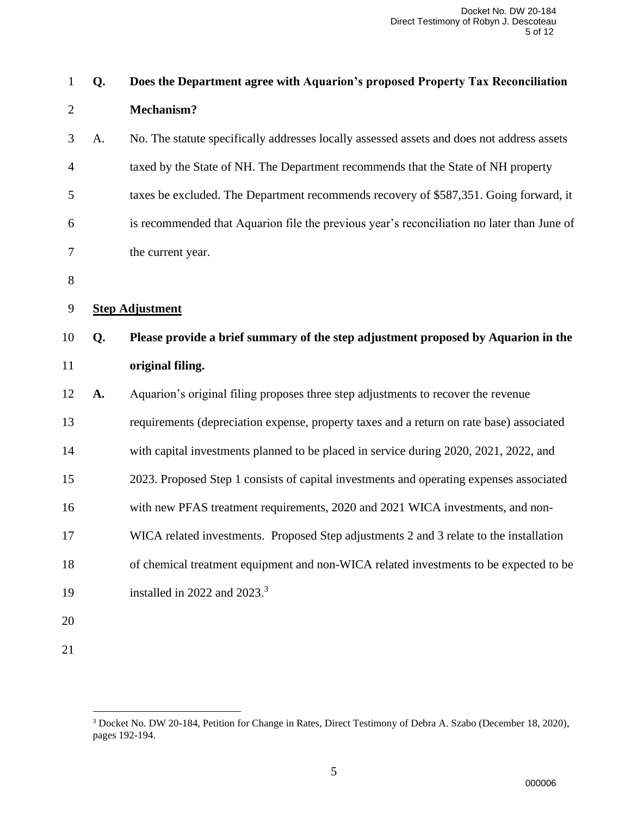|             |    | Docket No. DW 20-184<br>Direct Testimony of Robyn J. Descoteau<br>5 of 12                                                                  |
|-------------|----|--------------------------------------------------------------------------------------------------------------------------------------------|
| $\mathbf 1$ | Q. | Does the Department agree with Aquarion's proposed Property Tax Reconciliation                                                             |
| 2           |    | <b>Mechanism?</b>                                                                                                                          |
| 3           | A. | No. The statute specifically addresses locally assessed assets and does not address assets                                                 |
| 4           |    | taxed by the State of NH. The Department recommends that the State of NH property                                                          |
| 5           |    | taxes be excluded. The Department recommends recovery of \$587,351. Going forward, it                                                      |
| 6           |    | is recommended that Aquarion file the previous year's reconciliation no later than June of                                                 |
| 7           |    | the current year.                                                                                                                          |
| 8           |    |                                                                                                                                            |
| 9           |    | <b>Step Adjustment</b>                                                                                                                     |
| 10          | Q. | Please provide a brief summary of the step adjustment proposed by Aquarion in the                                                          |
| 11          |    | original filing.                                                                                                                           |
| 12          | A. | Aquarion's original filing proposes three step adjustments to recover the revenue                                                          |
| 13          |    | requirements (depreciation expense, property taxes and a return on rate base) associated                                                   |
| 14          |    | with capital investments planned to be placed in service during 2020, 2021, 2022, and                                                      |
| 15          |    | 2023. Proposed Step 1 consists of capital investments and operating expenses associated                                                    |
| 16          |    | with new PFAS treatment requirements, 2020 and 2021 WICA investments, and non-                                                             |
| 17          |    | WICA related investments. Proposed Step adjustments 2 and 3 relate to the installation                                                     |
| 18          |    | of chemical treatment equipment and non-WICA related investments to be expected to be                                                      |
| 19          |    | installed in 2022 and 2023. $3$                                                                                                            |
| 20          |    |                                                                                                                                            |
| 21          |    |                                                                                                                                            |
|             |    |                                                                                                                                            |
|             |    | <sup>3</sup> Docket No. DW 20-184, Petition for Change in Rates, Direct Testimony of Debra A. Szabo (December 18, 2020),<br>pages 192-194. |
|             |    | 5<br>000006                                                                                                                                |

 Docket No. DW 20-184, Petition for Change in Rates, Direct Testimony of Debra A. Szabo (December 18, 2020), pages 192-194.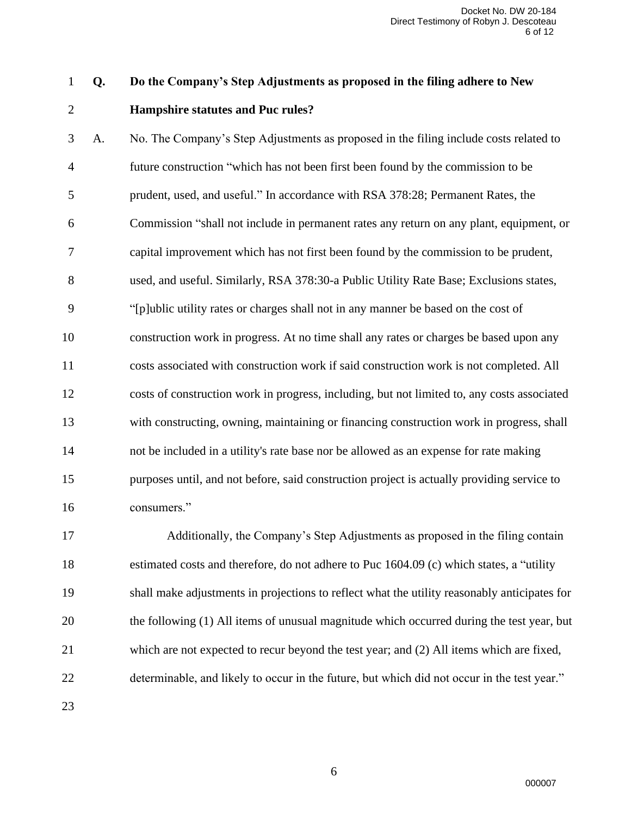## **Q. Do the Company's Step Adjustments as proposed in the filing adhere to New Hampshire statutes and Puc rules?**

 A. No. The Company's Step Adjustments as proposed in the filing include costs related to future construction "which has not been first been found by the commission to be prudent, used, and useful." In accordance with RSA 378:28; Permanent Rates, the Commission "shall not include in permanent rates any return on any plant, equipment, or capital improvement which has not first been found by the commission to be prudent, used, and useful. Similarly, RSA 378:30-a Public Utility Rate Base; Exclusions states, "[p]ublic utility rates or charges shall not in any manner be based on the cost of construction work in progress. At no time shall any rates or charges be based upon any costs associated with construction work if said construction work is not completed. All costs of construction work in progress, including, but not limited to, any costs associated with constructing, owning, maintaining or financing construction work in progress, shall not be included in a utility's rate base nor be allowed as an expense for rate making purposes until, and not before, said construction project is actually providing service to consumers." Docket No. DW 20-184<br>
of Robyn J. Descoteau<br>
6 of 12<br>
of Robyn J. Descoteau<br>
6 of 12<br> **uddhere to New**<br>
ad**here to New**<br>
lude costs related to<br>
mmission to be<br>
ment Rates, the<br>
y plant, equipment,<br>
sion to be prudent,<br>
i,

 Additionally, the Company's Step Adjustments as proposed in the filing contain estimated costs and therefore, do not adhere to Puc 1604.09 (c) which states, a "utility shall make adjustments in projections to reflect what the utility reasonably anticipates for the following (1) All items of unusual magnitude which occurred during the test year, but which are not expected to recur beyond the test year; and (2) All items which are fixed, determinable, and likely to occur in the future, but which did not occur in the test year."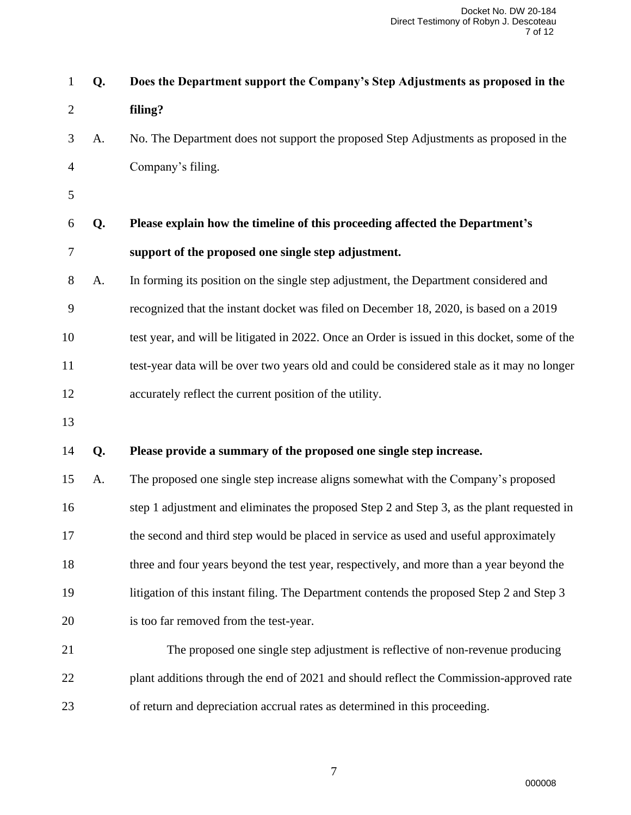|              |    | Docket No. DW 20-184<br>Direct Testimony of Robyn J. Descoteau<br>7 of 12                     |
|--------------|----|-----------------------------------------------------------------------------------------------|
| $\mathbf{1}$ | Q. | Does the Department support the Company's Step Adjustments as proposed in the                 |
| 2            |    | filing?                                                                                       |
| 3            | A. | No. The Department does not support the proposed Step Adjustments as proposed in the          |
| 4            |    | Company's filing.                                                                             |
| 5            |    |                                                                                               |
| 6            | Q. | Please explain how the timeline of this proceeding affected the Department's                  |
| 7            |    | support of the proposed one single step adjustment.                                           |
| 8            | A. | In forming its position on the single step adjustment, the Department considered and          |
| 9            |    | recognized that the instant docket was filed on December 18, 2020, is based on a 2019         |
| 10           |    | test year, and will be litigated in 2022. Once an Order is issued in this docket, some of the |
| 11           |    | test-year data will be over two years old and could be considered stale as it may no longer   |
| 12           |    | accurately reflect the current position of the utility.                                       |
| 13           |    |                                                                                               |
| 14           | Q. | Please provide a summary of the proposed one single step increase.                            |
| 15           | A. | The proposed one single step increase aligns somewhat with the Company's proposed             |
| 16           |    | step 1 adjustment and eliminates the proposed Step 2 and Step 3, as the plant requested in    |
| 17           |    | the second and third step would be placed in service as used and useful approximately         |
| 18           |    | three and four years beyond the test year, respectively, and more than a year beyond the      |
| 19           |    | litigation of this instant filing. The Department contends the proposed Step 2 and Step 3     |
| 20           |    | is too far removed from the test-year.                                                        |
| 21           |    | The proposed one single step adjustment is reflective of non-revenue producing                |
| 22           |    | plant additions through the end of 2021 and should reflect the Commission-approved rate       |
| 23           |    | of return and depreciation accrual rates as determined in this proceeding.                    |
|              |    |                                                                                               |
|              |    | $\boldsymbol{7}$                                                                              |
|              |    | 000008                                                                                        |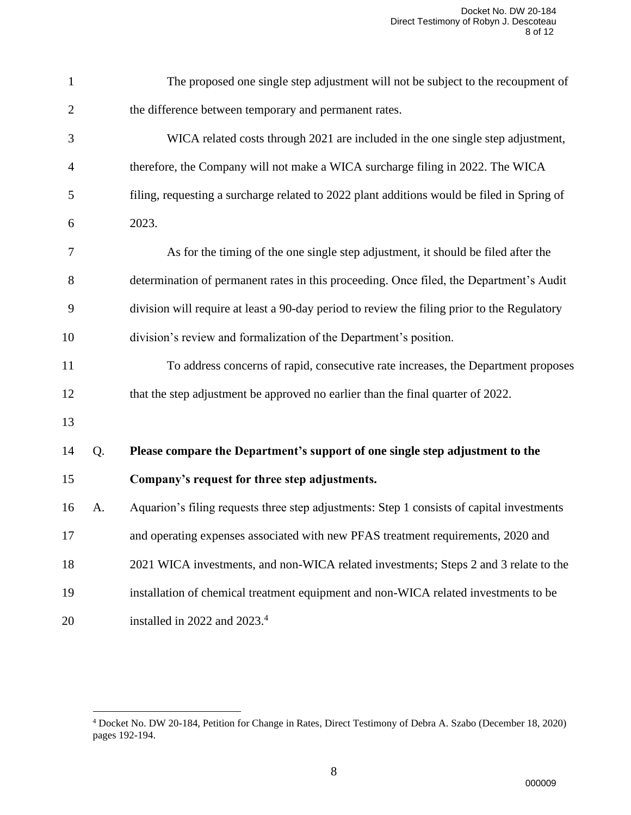|                |    | Docket No. DW 20-184<br>Direct Testimony of Robyn J. Descoteau<br>8 of 12                                                                 |
|----------------|----|-------------------------------------------------------------------------------------------------------------------------------------------|
| $\mathbf{1}$   |    | The proposed one single step adjustment will not be subject to the recoupment of                                                          |
| $\overline{2}$ |    | the difference between temporary and permanent rates.                                                                                     |
| 3              |    | WICA related costs through 2021 are included in the one single step adjustment,                                                           |
| 4              |    | therefore, the Company will not make a WICA surcharge filing in 2022. The WICA                                                            |
| 5              |    | filing, requesting a surcharge related to 2022 plant additions would be filed in Spring of                                                |
| 6              |    | 2023.                                                                                                                                     |
| 7              |    | As for the timing of the one single step adjustment, it should be filed after the                                                         |
| 8              |    | determination of permanent rates in this proceeding. Once filed, the Department's Audit                                                   |
| 9              |    | division will require at least a 90-day period to review the filing prior to the Regulatory                                               |
| 10             |    | division's review and formalization of the Department's position.                                                                         |
| 11             |    | To address concerns of rapid, consecutive rate increases, the Department proposes                                                         |
| 12             |    | that the step adjustment be approved no earlier than the final quarter of 2022.                                                           |
| 13             |    |                                                                                                                                           |
| 14             | Q. | Please compare the Department's support of one single step adjustment to the                                                              |
| 15             |    | Company's request for three step adjustments.                                                                                             |
| 16             | A. | Aquarion's filing requests three step adjustments: Step 1 consists of capital investments                                                 |
| 17             |    | and operating expenses associated with new PFAS treatment requirements, 2020 and                                                          |
| 18             |    | 2021 WICA investments, and non-WICA related investments; Steps 2 and 3 relate to the                                                      |
| 19             |    | installation of chemical treatment equipment and non-WICA related investments to be                                                       |
| 20             |    | installed in 2022 and 2023. <sup>4</sup>                                                                                                  |
|                |    |                                                                                                                                           |
|                |    |                                                                                                                                           |
|                |    | <sup>4</sup> Docket No. DW 20-184, Petition for Change in Rates, Direct Testimony of Debra A. Szabo (December 18, 2020)<br>pages 192-194. |
|                |    | 8<br>000009                                                                                                                               |

 Docket No. DW 20-184, Petition for Change in Rates, Direct Testimony of Debra A. Szabo (December 18, 2020) pages 192-194.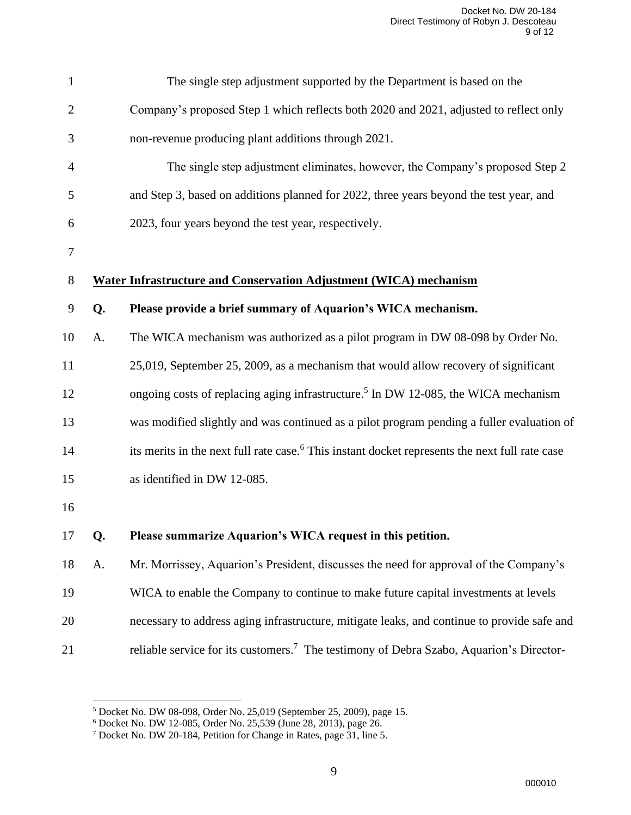|                |    | Docket No. DW 20-184<br>Direct Testimony of Robyn J. Descoteau<br>9 of 12                                                                                                                                                                                |  |
|----------------|----|----------------------------------------------------------------------------------------------------------------------------------------------------------------------------------------------------------------------------------------------------------|--|
| $\mathbf{1}$   |    | The single step adjustment supported by the Department is based on the                                                                                                                                                                                   |  |
| $\overline{2}$ |    | Company's proposed Step 1 which reflects both 2020 and 2021, adjusted to reflect only                                                                                                                                                                    |  |
| 3              |    | non-revenue producing plant additions through 2021.                                                                                                                                                                                                      |  |
| 4              |    | The single step adjustment eliminates, however, the Company's proposed Step 2                                                                                                                                                                            |  |
| 5              |    | and Step 3, based on additions planned for 2022, three years beyond the test year, and                                                                                                                                                                   |  |
| 6              |    | 2023, four years beyond the test year, respectively.                                                                                                                                                                                                     |  |
| 7              |    |                                                                                                                                                                                                                                                          |  |
| 8              |    | <b>Water Infrastructure and Conservation Adjustment (WICA) mechanism</b>                                                                                                                                                                                 |  |
| 9              | Q. | Please provide a brief summary of Aquarion's WICA mechanism.                                                                                                                                                                                             |  |
| 10             | A. | The WICA mechanism was authorized as a pilot program in DW 08-098 by Order No.                                                                                                                                                                           |  |
| 11             |    | 25,019, September 25, 2009, as a mechanism that would allow recovery of significant                                                                                                                                                                      |  |
| 12             |    | ongoing costs of replacing aging infrastructure. <sup>5</sup> In DW 12-085, the WICA mechanism                                                                                                                                                           |  |
| 13             |    | was modified slightly and was continued as a pilot program pending a fuller evaluation of                                                                                                                                                                |  |
| 14             |    | its merits in the next full rate case. <sup>6</sup> This instant docket represents the next full rate case                                                                                                                                               |  |
| 15             |    | as identified in DW 12-085.                                                                                                                                                                                                                              |  |
| 16             |    |                                                                                                                                                                                                                                                          |  |
| 17             | Q. | Please summarize Aquarion's WICA request in this petition.                                                                                                                                                                                               |  |
| 18             | A. | Mr. Morrissey, Aquarion's President, discusses the need for approval of the Company's                                                                                                                                                                    |  |
| 19             |    | WICA to enable the Company to continue to make future capital investments at levels                                                                                                                                                                      |  |
| 20             |    | necessary to address aging infrastructure, mitigate leaks, and continue to provide safe and                                                                                                                                                              |  |
| 21             |    | reliable service for its customers. <sup>7</sup> The testimony of Debra Szabo, Aquarion's Director-                                                                                                                                                      |  |
|                |    |                                                                                                                                                                                                                                                          |  |
|                |    | <sup>5</sup> Docket No. DW 08-098, Order No. 25,019 (September 25, 2009), page 15.<br><sup>6</sup> Docket No. DW 12-085, Order No. 25,539 (June 28, 2013), page 26.<br><sup>7</sup> Docket No. DW 20-184, Petition for Change in Rates, page 31, line 5. |  |
|                |    | 9                                                                                                                                                                                                                                                        |  |
|                |    | 000010                                                                                                                                                                                                                                                   |  |

Docket No. DW 08-098, Order No. 25,019 (September 25, 2009), page 15.

Docket No. DW 12-085, Order No. 25,539 (June 28, 2013), page 26.

<sup>&</sup>lt;sup>7</sup> Docket No. DW 20-184, Petition for Change in Rates, page 31, line 5.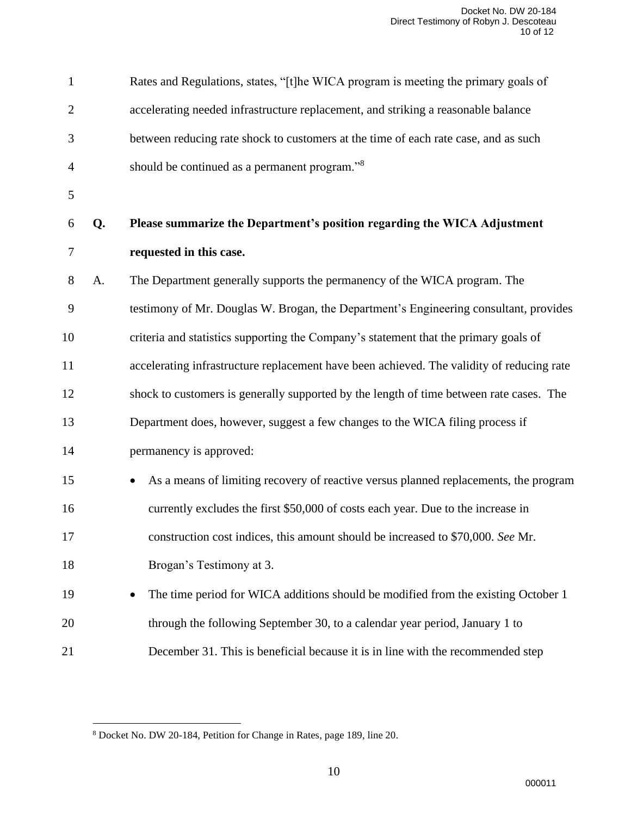|                |    | Docket No. DW 20-184<br>Direct Testimony of Robyn J. Descoteau<br>10 of 12                |
|----------------|----|-------------------------------------------------------------------------------------------|
| $\mathbf{1}$   |    | Rates and Regulations, states, "[t]he WICA program is meeting the primary goals of        |
| $\overline{2}$ |    | accelerating needed infrastructure replacement, and striking a reasonable balance         |
| 3              |    | between reducing rate shock to customers at the time of each rate case, and as such       |
| 4              |    | should be continued as a permanent program." <sup>8</sup>                                 |
| 5              |    |                                                                                           |
| 6              | Q. | Please summarize the Department's position regarding the WICA Adjustment                  |
| 7              |    | requested in this case.                                                                   |
| 8              | A. | The Department generally supports the permanency of the WICA program. The                 |
| 9              |    | testimony of Mr. Douglas W. Brogan, the Department's Engineering consultant, provides     |
| 10             |    | criteria and statistics supporting the Company's statement that the primary goals of      |
| 11             |    | accelerating infrastructure replacement have been achieved. The validity of reducing rate |
| 12             |    | shock to customers is generally supported by the length of time between rate cases. The   |
| 13             |    | Department does, however, suggest a few changes to the WICA filing process if             |
| 14             |    | permanency is approved:                                                                   |
| 15             |    | As a means of limiting recovery of reactive versus planned replacements, the program      |
| 16             |    | currently excludes the first \$50,000 of costs each year. Due to the increase in          |
| 17             |    | construction cost indices, this amount should be increased to \$70,000. See Mr.           |
| 18             |    | Brogan's Testimony at 3.                                                                  |
| 19             |    | The time period for WICA additions should be modified from the existing October 1         |
| 20             |    | through the following September 30, to a calendar year period, January 1 to               |
| 21             |    | December 31. This is beneficial because it is in line with the recommended step           |
|                |    |                                                                                           |
|                |    | <sup>8</sup> Docket No. DW 20-184, Petition for Change in Rates, page 189, line 20.       |
|                |    | 10<br>000011                                                                              |

Docket No. DW 20-184, Petition for Change in Rates, page 189, line 20.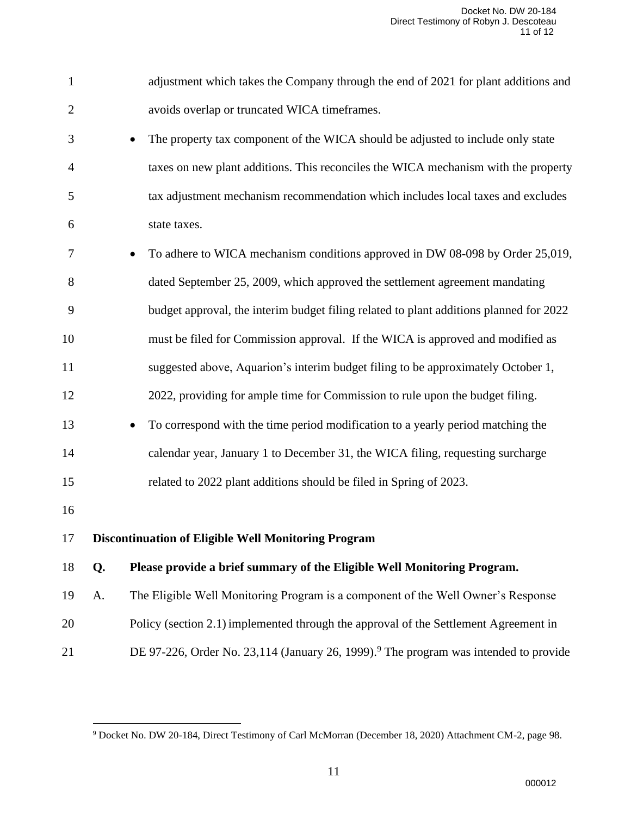|                |    | Docket No. DW 20-184<br>Direct Testimony of Robyn J. Descoteau<br>11 of 12                                         |
|----------------|----|--------------------------------------------------------------------------------------------------------------------|
| $\mathbf{1}$   |    | adjustment which takes the Company through the end of 2021 for plant additions and                                 |
| $\overline{2}$ |    | avoids overlap or truncated WICA timeframes.                                                                       |
| 3              |    | The property tax component of the WICA should be adjusted to include only state                                    |
| 4              |    | taxes on new plant additions. This reconciles the WICA mechanism with the property                                 |
| 5              |    | tax adjustment mechanism recommendation which includes local taxes and excludes                                    |
| 6              |    | state taxes.                                                                                                       |
| 7              |    | To adhere to WICA mechanism conditions approved in DW 08-098 by Order 25,019,<br>$\bullet$                         |
| 8              |    | dated September 25, 2009, which approved the settlement agreement mandating                                        |
| 9              |    | budget approval, the interim budget filing related to plant additions planned for 2022                             |
| 10             |    | must be filed for Commission approval. If the WICA is approved and modified as                                     |
| 11             |    | suggested above, Aquarion's interim budget filing to be approximately October 1,                                   |
| 12             |    | 2022, providing for ample time for Commission to rule upon the budget filing.                                      |
| 13             |    | To correspond with the time period modification to a yearly period matching the<br>$\bullet$                       |
| 14             |    | calendar year, January 1 to December 31, the WICA filing, requesting surcharge                                     |
| 15             |    | related to 2022 plant additions should be filed in Spring of 2023.                                                 |
| 16             |    |                                                                                                                    |
| 17             |    | <b>Discontinuation of Eligible Well Monitoring Program</b>                                                         |
| 18             | Q. | Please provide a brief summary of the Eligible Well Monitoring Program.                                            |
| 19             | A. | The Eligible Well Monitoring Program is a component of the Well Owner's Response                                   |
| 20             |    | Policy (section 2.1) implemented through the approval of the Settlement Agreement in                               |
| 21             |    | DE 97-226, Order No. 23,114 (January 26, 1999). <sup>9</sup> The program was intended to provide                   |
|                |    | <sup>9</sup> Docket No. DW 20-184, Direct Testimony of Carl McMorran (December 18, 2020) Attachment CM-2, page 98. |
|                |    | 11<br>000012                                                                                                       |

Docket No. DW 20-184, Direct Testimony of Carl McMorran (December 18, 2020) Attachment CM-2, page 98.